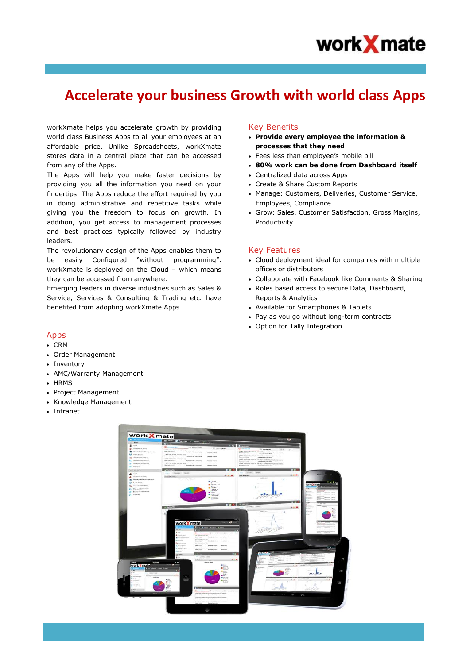

# **Accelerate your business Growth with world class Apps**

workXmate helps you accelerate growth by providing world class Business Apps to all your employees at an affordable price. Unlike Spreadsheets, workXmate stores data in a central place that can be accessed from any of the Apps.

The Apps will help you make faster decisions by providing you all the information you need on your fingertips. The Apps reduce the effort required by you in doing administrative and repetitive tasks while giving you the freedom to focus on growth. In addition, you get access to management processes and best practices typically followed by industry leaders.

The revolutionary design of the Apps enables them to be easily Configured "without programming". workXmate is deployed on the Cloud – which means they can be accessed from anywhere.

Emerging leaders in diverse industries such as Sales & Service, Services & Consulting & Trading etc. have benefited from adopting workXmate Apps.

## Key Benefits

- **Provide every employee the information & processes that they need**
- Fees less than employee's mobile bill
- **80% work can be done from Dashboard itself**
- Centralized data across Apps
- Create & Share Custom Reports
- Manage: Customers, Deliveries, Customer Service, Employees, Compliance...
- Grow: Sales, Customer Satisfaction, Gross Margins, Productivity…

#### Key Features

- Cloud deployment ideal for companies with multiple offices or distributors
- Collaborate with Facebook like Comments & Sharing
- Roles based access to secure Data, Dashboard, Reports & Analytics
- Available for Smartphones & Tablets
- Pay as you go without long-term contracts
- Option for Tally Integration

## Apps

- CRM
- Order Management
- Inventory
- AMC/Warranty Management
- HRMS
- Project Management
- Knowledge Management
- Intranet